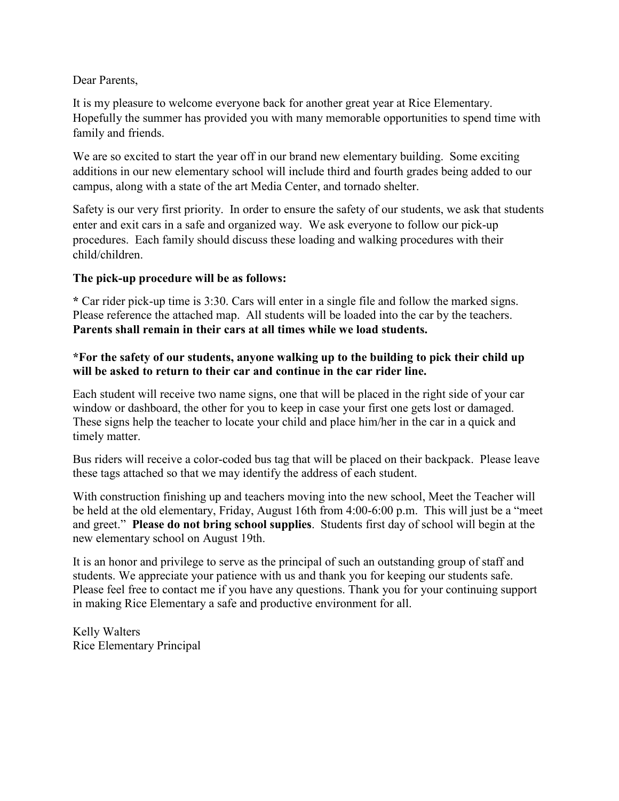## Dear Parents,

It is my pleasure to welcome everyone back for another great year at Rice Elementary. Hopefully the summer has provided you with many memorable opportunities to spend time with family and friends.

We are so excited to start the year off in our brand new elementary building. Some exciting additions in our new elementary school will include third and fourth grades being added to our campus, along with a state of the art Media Center, and tornado shelter.

Safety is our very first priority. In order to ensure the safety of our students, we ask that students enter and exit cars in a safe and organized way. We ask everyone to follow our pick-up procedures. Each family should discuss these loading and walking procedures with their child/children.

## **The pick-up procedure will be as follows:**

**\*** Car rider pick-up time is 3:30. Cars will enter in a single file and follow the marked signs. Please reference the attached map. All students will be loaded into the car by the teachers. **Parents shall remain in their cars at all times while we load students.** 

## **\*For the safety of our students, anyone walking up to the building to pick their child up will be asked to return to their car and continue in the car rider line.**

Each student will receive two name signs, one that will be placed in the right side of your car window or dashboard, the other for you to keep in case your first one gets lost or damaged. These signs help the teacher to locate your child and place him/her in the car in a quick and timely matter.

Bus riders will receive a color-coded bus tag that will be placed on their backpack. Please leave these tags attached so that we may identify the address of each student.

With construction finishing up and teachers moving into the new school, Meet the Teacher will be held at the old elementary, Friday, August 16th from 4:00-6:00 p.m. This will just be a "meet and greet." **Please do not bring school supplies**. Students first day of school will begin at the new elementary school on August 19th.

It is an honor and privilege to serve as the principal of such an outstanding group of staff and students. We appreciate your patience with us and thank you for keeping our students safe. Please feel free to contact me if you have any questions. Thank you for your continuing support in making Rice Elementary a safe and productive environment for all.

Kelly Walters Rice Elementary Principal